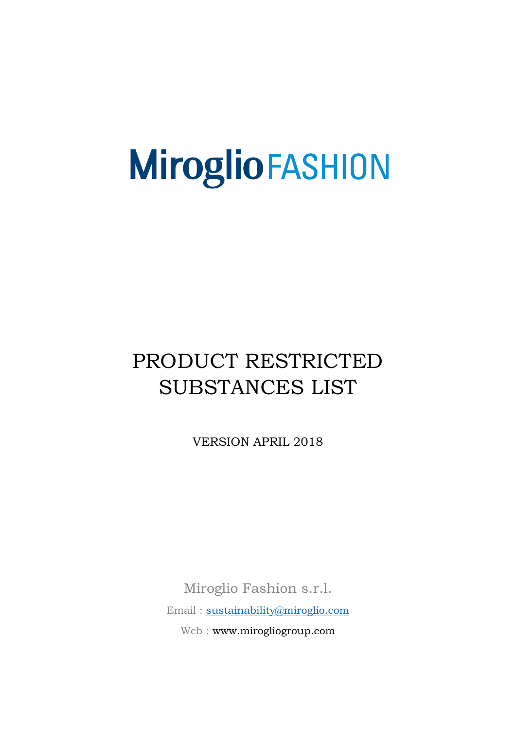# PRODUCT RESTRICTED SUBSTANCES LIST

VERSION APRIL 2018

Miroglio Fashion s.r.l. Email : [sustainability@miroglio.com](mailto:sustainability@miroglio.com) Web : www.mirogliogroup.com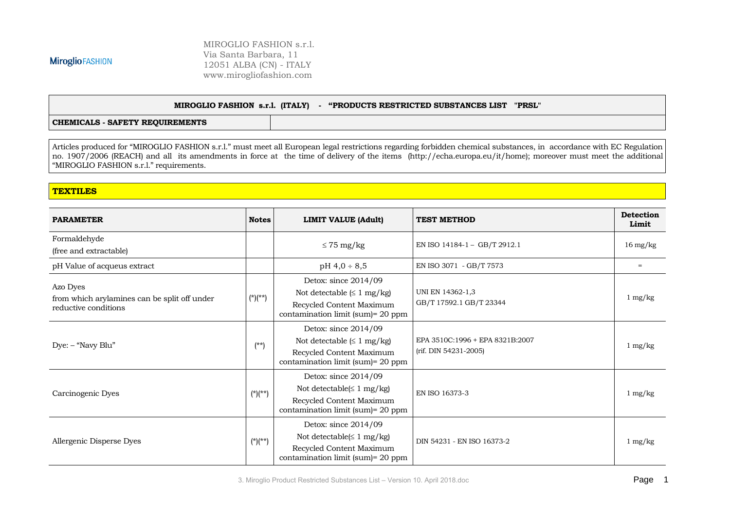MIROGLIO FASHION s.r.l. Via Santa Barbara, 11 12051 ALBA (CN) - ITALY www.mirogliofashion.com

#### **MIROGLIO FASHION s.r.l. (ITALY) - "PRODUCTS RESTRICTED SUBSTANCES LIST "PRSL"**

**CHEMICALS - SAFETY REQUIREMENTS**

Articles produced for "MIROGLIO FASHION s.r.l." must meet all European legal restrictions regarding forbidden chemical substances, in accordance with EC Regulation no. 1907/2006 (REACH) and all its amendments in force at the time of delivery of the items [\(http://echa.europa.eu/it/home\)](http://echa.europa.eu/it/home); moreover must meet the additional "MIROGLIO FASHION s.r.l." requirements.

#### **TEXTILES**

| <b>PARAMETER</b>                                                                 | <b>Notes</b> | <b>LIMIT VALUE (Adult)</b>                                                                                                       | <b>TEST METHOD</b>                                       | <b>Detection</b><br>Limit |
|----------------------------------------------------------------------------------|--------------|----------------------------------------------------------------------------------------------------------------------------------|----------------------------------------------------------|---------------------------|
| Formaldehyde<br>(free and extractable)                                           |              | $\leq$ 75 mg/kg                                                                                                                  | EN ISO 14184-1 - GB/T 2912.1                             | $16 \text{ mg/kg}$        |
| pH Value of acqueus extract                                                      |              | $pH 4,0 \div 8,5$                                                                                                                | EN ISO 3071 - GB/T 7573                                  | $=$                       |
| Azo Dyes<br>from which arylamines can be split off under<br>reductive conditions | $(*)(**)$    | Detox: since 2014/09<br>Not detectable $(\leq 1 \text{ mg/kg})$<br>Recycled Content Maximum<br>contamination limit (sum)= 20 ppm | UNI EN 14362-1,3<br>GB/T 17592.1 GB/T 23344              | $1 \text{ mg/kg}$         |
| Dye: - "Navy Blu"                                                                | $(**)$       | Detox: since 2014/09<br>Not detectable $(\leq 1 \text{ mg/kg})$<br>Recycled Content Maximum<br>contamination limit (sum)= 20 ppm | EPA 3510C:1996 + EPA 8321B:2007<br>(rif. DIN 54231-2005) | $1 \text{ mg/kg}$         |
| Carcinogenic Dyes                                                                | $(*)$ (**)   | Detox: since 2014/09<br>Not detectable $\leq 1$ mg/kg)<br>Recycled Content Maximum<br>contamination limit (sum)= 20 ppm          | EN ISO 16373-3                                           | $1 \text{ mg/kg}$         |
| Allergenic Disperse Dyes                                                         | $(*)(**)$    | Detox: since 2014/09<br>Not detectable $\leq 1$ mg/kg)<br>Recycled Content Maximum<br>contamination limit (sum)= 20 ppm          | DIN 54231 - EN ISO 16373-2                               | $1 \text{ mg/kg}$         |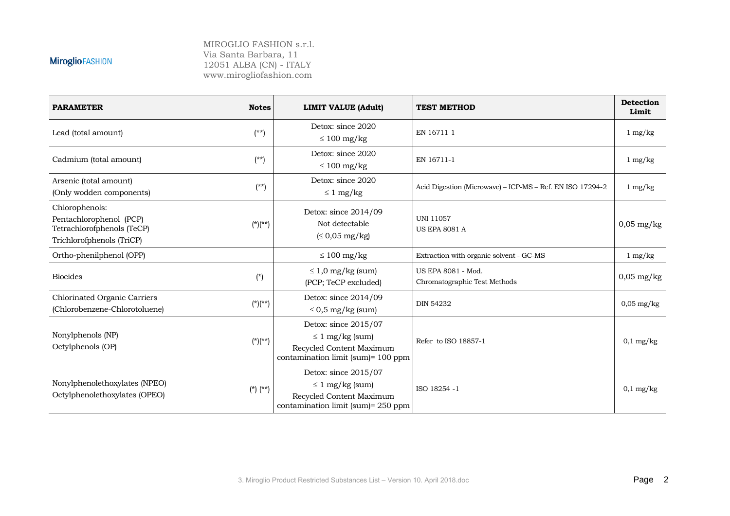| <b>PARAMETER</b>                                                                                     | <b>Notes</b> | LIMIT VALUE (Adult)                                                                                            | <b>TEST METHOD</b>                                        | <b>Detection</b><br>Limit |
|------------------------------------------------------------------------------------------------------|--------------|----------------------------------------------------------------------------------------------------------------|-----------------------------------------------------------|---------------------------|
| Lead (total amount)                                                                                  | $(**)$       | Detox: since 2020<br>$\leq 100$ mg/kg                                                                          | EN 16711-1                                                | $1 \text{ mg/kg}$         |
| Cadmium (total amount)                                                                               | $(**)$       | Detox: since 2020<br>$\leq 100$ mg/kg                                                                          | EN 16711-1                                                | $1 \text{ mg/kg}$         |
| Arsenic (total amount)<br>(Only wodden components)                                                   | $(**)$       | Detox: since 2020<br>$\leq 1$ mg/kg                                                                            | Acid Digestion (Microwave) - ICP-MS - Ref. EN ISO 17294-2 | $1 \text{ mg/kg}$         |
| Chlorophenols:<br>Pentachlorophenol (PCP)<br>Tetrachlorofphenols (TeCP)<br>Trichlorofphenols (TriCP) | $(*)$ (**)   | Detox: since 2014/09<br>Not detectable<br>$\leq 0.05$ mg/kg)                                                   | <b>UNI 11057</b><br><b>US EPA 8081 A</b>                  | $0,05$ mg/kg              |
| Ortho-phenilphenol (OPP)                                                                             |              | $\leq 100$ mg/kg                                                                                               | Extraction with organic solvent - GC-MS                   | $1 \text{ mg/kg}$         |
| <b>Biocides</b>                                                                                      | $(*)$        | $\leq 1.0$ mg/kg (sum)<br>(PCP; TeCP excluded)                                                                 | US EPA 8081 - Mod.<br>Chromatographic Test Methods        | $0,05$ mg/kg              |
| <b>Chlorinated Organic Carriers</b><br>(Chlorobenzene-Chlorotoluene)                                 | $(*)$ (**)   | Detox: since 2014/09<br>$\leq$ 0,5 mg/kg (sum)                                                                 | <b>DIN 54232</b>                                          | $0,05 \text{ mg/kg}$      |
| Nonylphenols (NP)<br>Octylphenols (OP)                                                               | $(*)$ (**)   | Detox: since 2015/07<br>$\leq 1$ mg/kg (sum)<br>Recycled Content Maximum<br>contamination limit (sum)= 100 ppm | Refer to ISO 18857-1                                      | $0,1$ mg/kg               |
| Nonylphenolethoxylates (NPEO)<br>Octylphenolethoxylates (OPEO)                                       | $(*) (**)$   | Detox: since 2015/07<br>$\leq 1$ mg/kg (sum)<br>Recycled Content Maximum<br>contamination limit (sum)= 250 ppm | ISO 18254 - 1                                             | $0,1$ mg/kg               |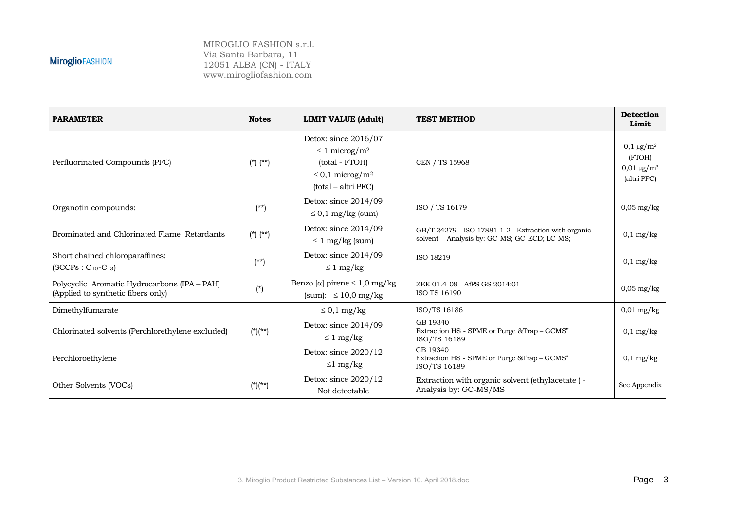| <b>PARAMETER</b>                                                                   | <b>Notes</b> | <b>LIMIT VALUE (Adult)</b>                                                                                                          | <b>TEST METHOD</b>                                                                                   | <b>Detection</b><br>Limit                                                 |
|------------------------------------------------------------------------------------|--------------|-------------------------------------------------------------------------------------------------------------------------------------|------------------------------------------------------------------------------------------------------|---------------------------------------------------------------------------|
| Perfluorinated Compounds (PFC)                                                     | $(*)$ $(**)$ | Detox: since 2016/07<br>$\leq 1$ microg/m <sup>2</sup><br>(total - FTOH)<br>$\leq$ 0,1 microg/m <sup>2</sup><br>(total – altri PFC) | CEN / TS 15968                                                                                       | $0,1 \,\mu g/m^2$<br>(FTOH)<br>$0.01 \,\mathrm{\mu g/m^2}$<br>(altri PFC) |
| Organotin compounds:                                                               | $(**)$       | Detox: since 2014/09<br>$\leq$ 0,1 mg/kg (sum)                                                                                      | ISO / TS 16179                                                                                       | $0,05 \text{ mg/kg}$                                                      |
| Brominated and Chlorinated Flame Retardants                                        | $(*)$ $(**)$ | Detox: since 2014/09<br>$\leq 1$ mg/kg (sum)                                                                                        | GB/T 24279 - ISO 17881-1-2 - Extraction with organic<br>solvent - Analysis by: GC-MS; GC-ECD; LC-MS; | $0,1$ mg/kg                                                               |
| Short chained chloroparaffines:<br>$(SCCPs : C_{10} - C_{13})$                     | $(**)$       | Detox: since 2014/09<br>$\leq 1$ mg/kg                                                                                              | ISO 18219                                                                                            | $0,1$ mg/kg                                                               |
| Polycyclic Aromatic Hydrocarbons (IPA - PAH)<br>(Applied to synthetic fibers only) | $(*)$        | Benzo [ $\alpha$ ] pirene $\leq 1,0$ mg/kg<br>(sum): $\leq 10.0$ mg/kg                                                              | ZEK 01.4-08 - AfPS GS 2014:01<br><b>ISO TS 16190</b>                                                 | $0.05$ mg/kg                                                              |
| Dimethylfumarate                                                                   |              | $\leq 0.1$ mg/kg                                                                                                                    | ISO/TS 16186                                                                                         | $0.01$ mg/kg                                                              |
| Chlorinated solvents (Perchlorethylene excluded)                                   | $(*)(**)$    | Detox: since 2014/09<br>$\leq 1$ mg/kg                                                                                              | GB 19340<br>Extraction HS - SPME or Purge & Trap - GCMS"<br>ISO/TS 16189                             | $0,1$ mg/kg                                                               |
| Perchloroethylene                                                                  |              | Detox: since 2020/12<br>$\leq 1$ mg/kg                                                                                              | GB 19340<br>Extraction HS - SPME or Purge & Trap - GCMS"<br>ISO/TS 16189                             | $0,1$ mg/kg                                                               |
| Other Solvents (VOCs)                                                              | $(*)$ (**)   | Detox: since 2020/12<br>Not detectable                                                                                              | Extraction with organic solvent (ethylacetate) -<br>Analysis by: GC-MS/MS                            | See Appendix                                                              |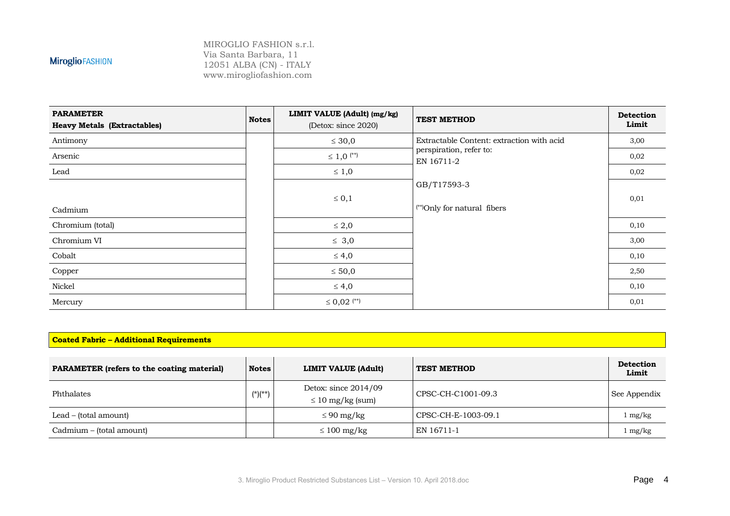MIROGLIO FASHION s.r.l. Via Santa Barbara, 11 12051 ALBA (CN) - ITALY www.mirogliofashion.com

| <b>PARAMETER</b><br><b>Heavy Metals (Extractables)</b> | <b>Notes</b> | LIMIT VALUE (Adult) (mg/kg)<br>(Detox: since 2020) | <b>TEST METHOD</b>                        | <b>Detection</b><br>Limit |
|--------------------------------------------------------|--------------|----------------------------------------------------|-------------------------------------------|---------------------------|
| Antimony                                               |              | $\leq 30,0$                                        | Extractable Content: extraction with acid | 3,00                      |
| Arsenic                                                |              | $\leq 1,0$ <sup>(**)</sup>                         | perspiration, refer to:<br>EN 16711-2     | 0,02                      |
| Lead                                                   |              | $\leq 1,0$                                         |                                           | 0,02                      |
|                                                        |              |                                                    | GB/T17593-3                               |                           |
| Cadmium                                                |              | $\leq 0,1$                                         | (**)Only for natural fibers               | 0,01                      |
| Chromium (total)                                       |              | $\leq 2,0$                                         |                                           | 0,10                      |
| Chromium VI                                            |              | $\leq 3,0$                                         |                                           | 3,00                      |
| Cobalt                                                 |              | $\leq 4,0$                                         |                                           | 0,10                      |
| Copper                                                 |              | $\leq 50,0$                                        |                                           | 2,50                      |
| Nickel                                                 |              | $\leq 4,0$                                         |                                           | 0,10                      |
| Mercury                                                |              | $\leq 0.02$ <sup>(**)</sup>                        |                                           | 0,01                      |

#### **Coated Fabric – Additional Requirements**

| <b>PARAMETER</b> (refers to the coating material) | <b>Notes</b> | <b>LIMIT VALUE (Adult)</b>                      | <b>TEST METHOD</b>  | <b>Detection</b><br>Limit |
|---------------------------------------------------|--------------|-------------------------------------------------|---------------------|---------------------------|
| Phthalates                                        | $(*)(**)$    | Detox: since $2014/09$<br>$\leq 10$ mg/kg (sum) | CPSC-CH-C1001-09.3  | See Appendix              |
| Lead – (total amount)                             |              | $\leq 90$ mg/kg                                 | CPSC-CH-E-1003-09.1 | $\log/k$ g                |
| Cadmium – (total amount)                          |              | $\leq 100$ mg/kg                                | EN 16711-1          | l mg/kg                   |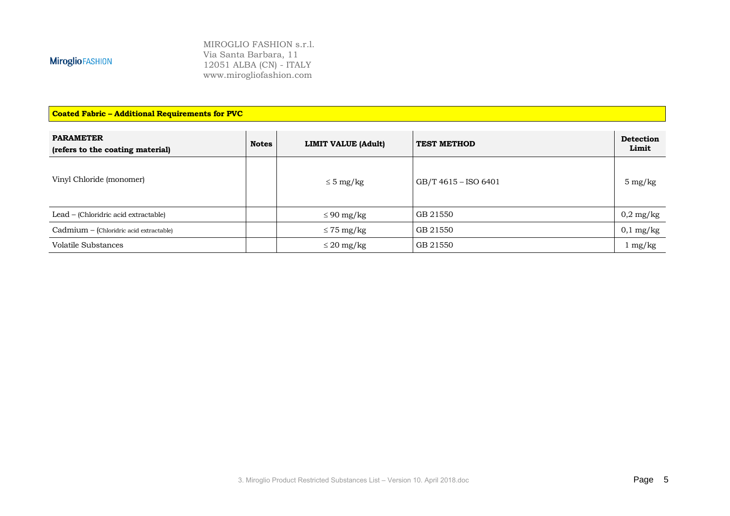MIROGLIO FASHION s.r.l. Via Santa Barbara, 11 12051 ALBA (CN) - ITALY www.mirogliofashion.com

**Coated Fabric – Additional Requirements for PVC**

| <b>PARAMETER</b><br>(refers to the coating material) | <b>Notes</b> | <b>LIMIT VALUE (Adult)</b> | <b>TEST METHOD</b>   | <b>Detection</b><br>Limit |
|------------------------------------------------------|--------------|----------------------------|----------------------|---------------------------|
| Vinyl Chloride (monomer)                             |              | $\leq$ 5 mg/kg             | GB/T 4615 – ISO 6401 | $5 \text{ mg/kg}$         |
| Lead – (Chloridric acid extractable)                 |              | $\leq 90$ mg/kg            | GB 21550             | $0.2 \text{ mg/kg}$       |
| Cadmium - (Chloridric acid extractable)              |              | $\leq$ 75 mg/kg            | GB 21550             | $0,1$ mg/kg               |
| Volatile Substances                                  |              | $\leq$ 20 mg/kg            | GB 21550             | $1 \text{ mg/kg}$         |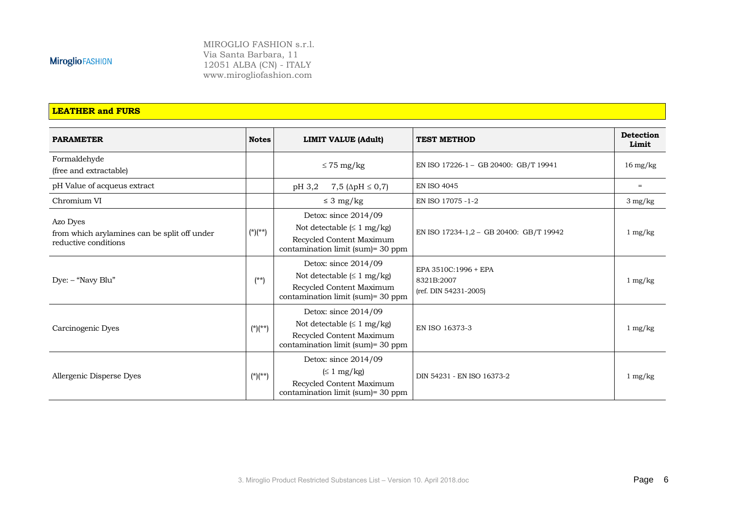MIROGLIO FASHION s.r.l. Via Santa Barbara, 11 12051 ALBA (CN) - ITALY www.mirogliofashion.com

#### **LEATHER and FURS**

| <b>PARAMETER</b>                                                                 | <b>Notes</b> | <b>LIMIT VALUE (Adult)</b>                                                                                                         | <b>TEST METHOD</b>                                          | <b>Detection</b><br>Limit |
|----------------------------------------------------------------------------------|--------------|------------------------------------------------------------------------------------------------------------------------------------|-------------------------------------------------------------|---------------------------|
| Formaldehyde<br>(free and extractable)                                           |              | $\leq$ 75 mg/kg                                                                                                                    | EN ISO 17226-1 - GB 20400: GB/T 19941                       | $16 \text{ mg/kg}$        |
| pH Value of acqueus extract                                                      |              | pH 3,2<br>7,5 ( $\Delta$ pH $\leq$ 0,7)                                                                                            | <b>EN ISO 4045</b>                                          | $=$                       |
| Chromium VI                                                                      |              | $\leq 3$ mg/kg                                                                                                                     | EN ISO 17075 - 1-2                                          | $3 \text{ mg/kg}$         |
| Azo Dyes<br>from which arylamines can be split off under<br>reductive conditions | $(*)(**)$    | Detox: since $2014/09$<br>Not detectable $(\leq 1 \text{ mg/kg})$<br>Recycled Content Maximum<br>contamination limit (sum)= 30 ppm | EN ISO 17234-1,2 - GB 20400: GB/T 19942                     | $1 \text{ mg/kg}$         |
| $Dye:$ – "Navy Blu"                                                              | $(**)$       | Detox: since 2014/09<br>Not detectable $(\leq 1 \text{ mg/kg})$<br>Recycled Content Maximum<br>contamination limit (sum)= 30 ppm   | EPA 3510C:1996 + EPA<br>8321B:2007<br>(ref. DIN 54231-2005) | $1 \text{ mg/kg}$         |
| Carcinogenic Dyes                                                                | $(*)$ (**)   | Detox: since $2014/09$<br>Not detectable $(\leq 1 \text{ mg/kg})$<br>Recycled Content Maximum<br>contamination limit (sum)= 30 ppm | EN ISO 16373-3                                              | $1 \text{ mg/kg}$         |
| Allergenic Disperse Dyes                                                         | $(*)$ (**)   | Detox: since 2014/09<br>$(\leq 1 \text{ mg/kg})$<br>Recycled Content Maximum<br>contamination limit (sum)= 30 ppm                  | DIN 54231 - EN ISO 16373-2                                  | $1 \text{ mg/kg}$         |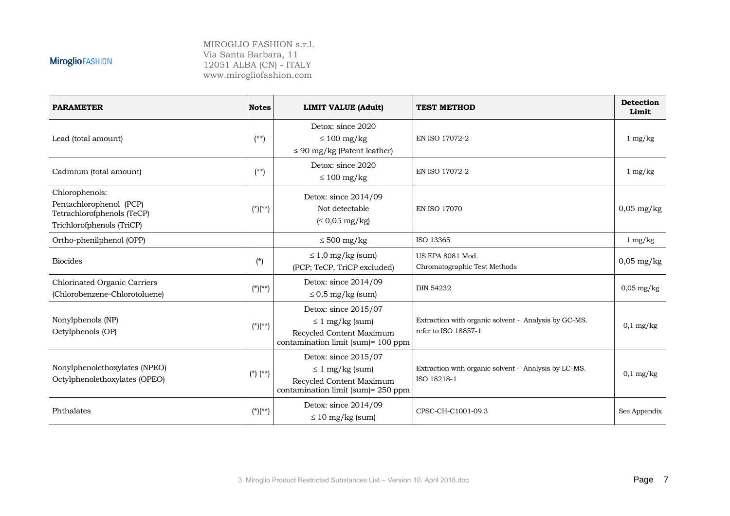| <b>PARAMETER</b>                                                                                     | <b>Notes</b> | <b>LIMIT VALUE (Adult)</b>                                                                                     | <b>TEST METHOD</b>                                                           | <b>Detection</b><br>Limit |
|------------------------------------------------------------------------------------------------------|--------------|----------------------------------------------------------------------------------------------------------------|------------------------------------------------------------------------------|---------------------------|
| Lead (total amount)                                                                                  | $(**)$       | Detox: since 2020<br>$\leq 100$ mg/kg<br>$\leq$ 90 mg/kg (Patent leather)                                      | EN ISO 17072-2                                                               | $1 \text{ mg/kg}$         |
| Cadmium (total amount)                                                                               | $(**)$       | Detox: since 2020<br>$\leq 100$ mg/kg                                                                          | EN ISO 17072-2                                                               | $1 \text{ mg/kg}$         |
| Chlorophenols:<br>Pentachlorophenol (PCP)<br>Tetrachlorofphenols (TeCP)<br>Trichlorofphenols (TriCP) | $(*)(**)$    | Detox: since 2014/09<br>Not detectable<br>$\leq 0.05$ mg/kg)                                                   | <b>EN ISO 17070</b>                                                          | $0,05$ mg/kg              |
| Ortho-phenilphenol (OPP)                                                                             |              | $\leq 500$ mg/kg                                                                                               | ISO 13365                                                                    | $1 \text{ mg/kg}$         |
| <b>Biocides</b>                                                                                      | $(*)$        | $\leq 1.0$ mg/kg (sum)<br>(PCP; TeCP, TriCP excluded)                                                          | US EPA 8081 Mod.<br>Chromatographic Test Methods                             | $0,05$ mg/kg              |
| <b>Chlorinated Organic Carriers</b><br>(Chlorobenzene-Chlorotoluene)                                 | $(*)$ (**)   | Detox: since 2014/09<br>$\leq$ 0,5 mg/kg (sum)                                                                 | <b>DIN 54232</b>                                                             | $0,05$ mg/kg              |
| Nonylphenols (NP)<br>Octylphenols (OP)                                                               | $(*)(**)$    | Detox: since 2015/07<br>$\leq 1$ mg/kg (sum)<br>Recycled Content Maximum<br>contamination limit (sum)= 100 ppm | Extraction with organic solvent - Analysis by GC-MS.<br>refer to ISO 18857-1 | $0,1$ mg/kg               |
| Nonylphenolethoxylates (NPEO)<br>Octylphenolethoxylates (OPEO)                                       | $(*)$ $(**)$ | Detox: since 2015/07<br>$\leq 1$ mg/kg (sum)<br>Recycled Content Maximum<br>contamination limit (sum)= 250 ppm | Extraction with organic solvent - Analysis by LC-MS.<br>ISO 18218-1          | $0,1$ mg/kg               |
| Phthalates                                                                                           | $(*)(**)$    | Detox: since $2014/09$<br>$\leq 10$ mg/kg (sum)                                                                | CPSC-CH-C1001-09.3                                                           | See Appendix              |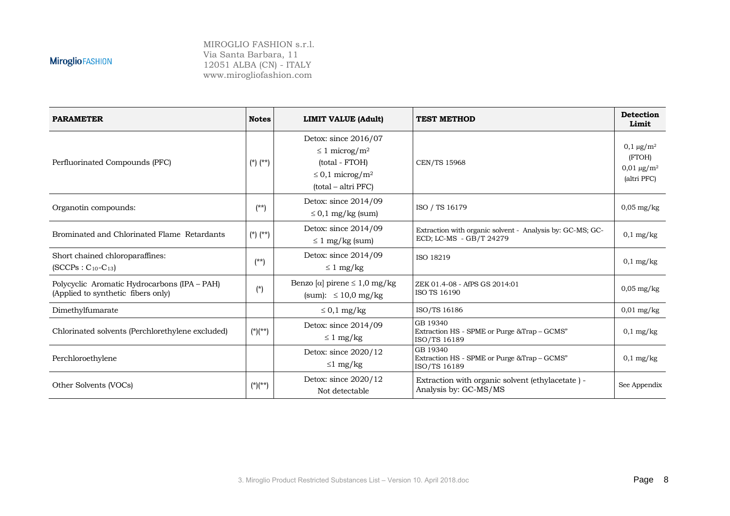| <b>PARAMETER</b>                                                                   | <b>Notes</b> | <b>LIMIT VALUE (Adult)</b>                                                                                                          | <b>TEST METHOD</b>                                                                   | <b>Detection</b><br>Limit                                                 |
|------------------------------------------------------------------------------------|--------------|-------------------------------------------------------------------------------------------------------------------------------------|--------------------------------------------------------------------------------------|---------------------------------------------------------------------------|
| Perfluorinated Compounds (PFC)                                                     | $(*)$ $(**)$ | Detox: since 2016/07<br>$\leq 1$ microg/m <sup>2</sup><br>(total - FTOH)<br>$\leq$ 0,1 microg/m <sup>2</sup><br>(total – altri PFC) | <b>CEN/TS 15968</b>                                                                  | $0,1 \,\mu g/m^2$<br>(FTOH)<br>$0.01 \,\mathrm{\mu g/m^2}$<br>(altri PFC) |
| Organotin compounds:                                                               | $(**)$       | Detox: since 2014/09<br>$\leq$ 0,1 mg/kg (sum)                                                                                      | ISO / TS 16179                                                                       | $0,05 \text{ mg/kg}$                                                      |
| Brominated and Chlorinated Flame Retardants                                        | $(*)$ $(**)$ | Detox: since 2014/09<br>$\leq 1$ mg/kg (sum)                                                                                        | Extraction with organic solvent - Analysis by: GC-MS; GC-<br>ECD; LC-MS - GB/T 24279 | $0,1$ mg/kg                                                               |
| Short chained chloroparaffines:<br>$(SCCPs : C_{10} - C_{13})$                     | $(**)$       | Detox: since 2014/09<br>$\leq 1$ mg/kg                                                                                              | ISO 18219                                                                            | $0,1$ mg/kg                                                               |
| Polycyclic Aromatic Hydrocarbons (IPA - PAH)<br>(Applied to synthetic fibers only) | $(*)$        | Benzo [ $\alpha$ ] pirene $\leq 1,0$ mg/kg<br>(sum): $\leq 10.0$ mg/kg                                                              | ZEK 01.4-08 - AfPS GS 2014:01<br>ISO TS 16190                                        | $0.05$ mg/kg                                                              |
| Dimethylfumarate                                                                   |              | $\leq 0.1$ mg/kg                                                                                                                    | ISO/TS 16186                                                                         | $0.01$ mg/kg                                                              |
| Chlorinated solvents (Perchlorethylene excluded)                                   | $(*)(**)$    | Detox: since 2014/09<br>$\leq 1$ mg/kg                                                                                              | GB 19340<br>Extraction HS - SPME or Purge & Trap - GCMS"<br>ISO/TS 16189             | $0,1$ mg/kg                                                               |
| Perchloroethylene                                                                  |              | Detox: since 2020/12<br>$\leq 1$ mg/kg                                                                                              | GB 19340<br>Extraction HS - SPME or Purge & Trap - GCMS"<br>ISO/TS 16189             | $0,1$ mg/kg                                                               |
| Other Solvents (VOCs)                                                              | $(*)$ (**)   | Detox: since 2020/12<br>Not detectable                                                                                              | Extraction with organic solvent (ethylacetate) -<br>Analysis by: GC-MS/MS            | See Appendix                                                              |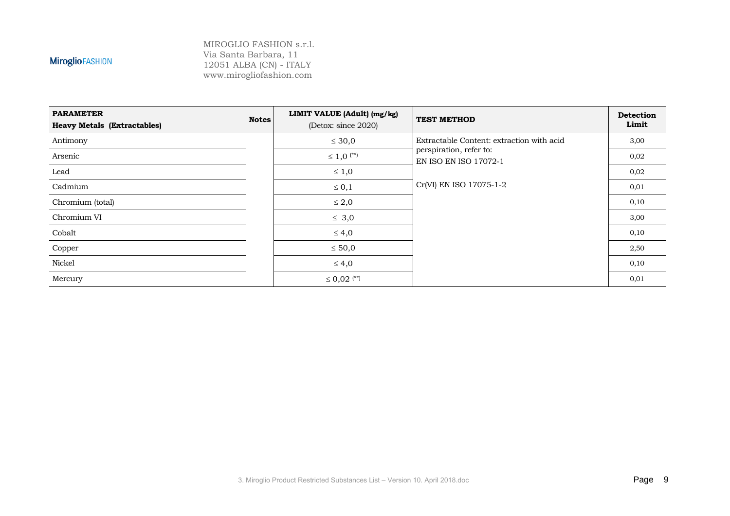| <b>PARAMETER</b><br><b>Heavy Metals (Extractables)</b> | <b>Notes</b> | LIMIT VALUE (Adult) (mg/kg)<br>(Detox: since 2020) | <b>TEST METHOD</b>                                      | <b>Detection</b><br>Limit |
|--------------------------------------------------------|--------------|----------------------------------------------------|---------------------------------------------------------|---------------------------|
| Antimony                                               |              | $\leq 30,0$                                        | Extractable Content: extraction with acid               | 3,00                      |
| Arsenic                                                |              | $\leq 1,0$ <sup>(**)</sup>                         | perspiration, refer to:<br><b>EN ISO EN ISO 17072-1</b> | 0,02                      |
| Lead                                                   |              | $\leq 1,0$                                         |                                                         | 0,02                      |
| Cadmium                                                |              | $\leq 0,1$                                         | Cr(VI) EN ISO 17075-1-2                                 | 0,01                      |
| Chromium (total)                                       |              | $\leq 2,0$                                         |                                                         | 0,10                      |
| Chromium VI                                            |              | $\leq 3,0$                                         |                                                         | 3,00                      |
| Cobalt                                                 |              | $\leq 4,0$                                         |                                                         | 0,10                      |
| Copper                                                 |              | $\leq 50,0$                                        |                                                         | 2,50                      |
| Nickel                                                 |              | $\leq 4,0$                                         |                                                         | 0,10                      |
| Mercury                                                |              | $\leq 0.02$ <sup>(**)</sup>                        |                                                         | 0,01                      |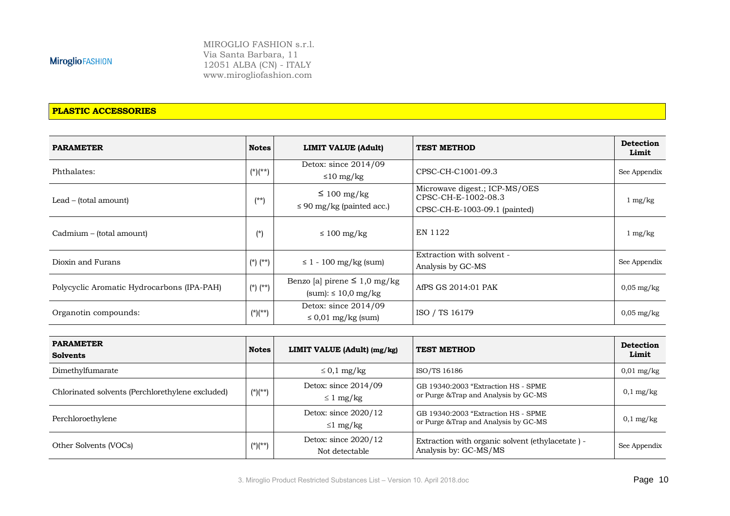MIROGLIO FASHION s.r.l. Via Santa Barbara, 11 12051 ALBA (CN) - ITALY www.mirogliofashion.com

#### **PLASTIC ACCESSORIES**

| <b>PARAMETER</b>                           | <b>Notes</b> | <b>LIMIT VALUE (Adult)</b>                                                | <b>TEST METHOD</b>                                                                    | <b>Detection</b><br>Limit |
|--------------------------------------------|--------------|---------------------------------------------------------------------------|---------------------------------------------------------------------------------------|---------------------------|
| Phthalates:                                | $(*)(**)$    | Detox: since $2014/09$<br>$\leq 10$ mg/kg                                 | CPSC-CH-C1001-09.3                                                                    | See Appendix              |
| Lead – (total amount)                      | $(**)$       | $\leq 100$ mg/kg<br>$\leq$ 90 mg/kg (painted acc.)                        | Microwave digest.; ICP-MS/OES<br>CPSC-CH-E-1002-08.3<br>CPSC-CH-E-1003-09.1 (painted) | $1 \text{ mg/kg}$         |
| Cadmium – (total amount)                   | $(*)$        | $\leq 100$ mg/kg                                                          | EN 1122                                                                               | $1 \text{ mg/kg}$         |
| Dioxin and Furans                          | $(*) (**)$   | $\leq$ 1 - 100 mg/kg (sum)                                                | Extraction with solvent -<br>Analysis by GC-MS                                        | See Appendix              |
| Polycyclic Aromatic Hydrocarbons (IPA-PAH) | $(*) (**)$   | Benzo [a] pirene $\leq 1,0$ mg/kg<br>${\text{(sum)}}$ : $\leq 10.0$ mg/kg | AfPS GS 2014:01 PAK                                                                   | $0.05$ mg/kg              |
| Organotin compounds:                       | $(*)(**)$    | Detox: since $2014/09$<br>$\leq 0.01$ mg/kg (sum)                         | ISO / TS 16179                                                                        | $0.05$ mg/kg              |

| <b>PARAMETER</b><br><b>Solvents</b>              | <b>Notes</b> | LIMIT VALUE (Adult) (mg/kg)              | <b>TEST METHOD</b>                                                           | <b>Detection</b><br>Limit |
|--------------------------------------------------|--------------|------------------------------------------|------------------------------------------------------------------------------|---------------------------|
| Dimethylfumarate                                 |              | $\leq$ 0,1 mg/kg                         | ISO/TS 16186                                                                 | $0.01$ mg/kg              |
| Chlorinated solvents (Perchlorethylene excluded) | $(*)$ (**)   | Detox: since $2014/09$<br>$\leq 1$ mg/kg | GB 19340:2003 "Extraction HS - SPME<br>or Purge & Trap and Analysis by GC-MS | $0,1$ mg/kg               |
| Perchloroethylene                                |              | Detox: since $2020/12$<br>$\leq 1$ mg/kg | GB 19340:2003 "Extraction HS - SPME<br>or Purge & Trap and Analysis by GC-MS | $0,1$ mg/kg               |
| Other Solvents (VOCs)                            | $(*)$ (**)   | Detox: since $2020/12$<br>Not detectable | Extraction with organic solvent (ethylacetate) -<br>Analysis by: GC-MS/MS    | See Appendix              |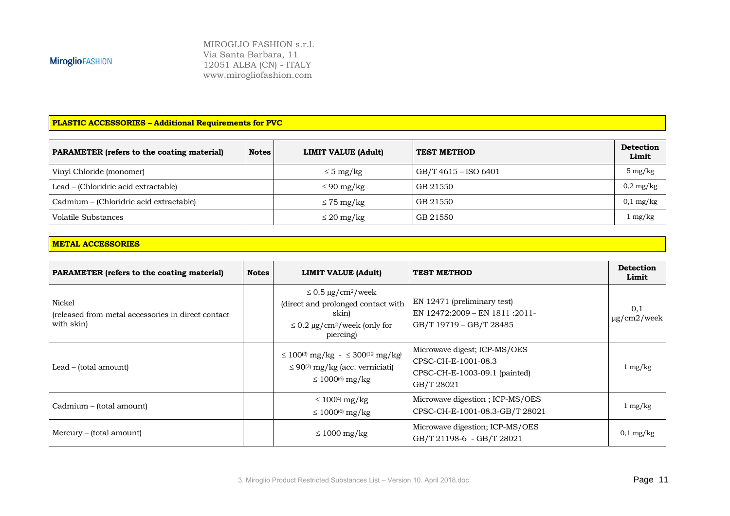MIROGLIO FASHION s.r.l. Via Santa Barbara, 11 12051 ALBA (CN) - ITALY www.mirogliofashion.com

#### **PLASTIC ACCESSORIES – Additional Requirements for PVC**

| <b>PARAMETER (refers to the coating material)</b> | <b>Notes</b> | <b>LIMIT VALUE (Adult)</b> | <b>TEST METHOD</b>   | <b>Detection</b><br>Limit |
|---------------------------------------------------|--------------|----------------------------|----------------------|---------------------------|
| Vinyl Chloride (monomer)                          |              | $\leq$ 5 mg/kg             | GB/T 4615 - ISO 6401 | $5 \text{ mg/kg}$         |
| Lead – (Chloridric acid extractable)              |              | $\leq 90$ mg/kg            | GB 21550             | $0.2 \text{ mg/kg}$       |
| Cadmium – (Chloridric acid extractable)           |              | $\leq$ 75 mg/kg            | GB 21550             | $0,1$ mg/kg               |
| Volatile Substances                               |              | $\leq$ 20 mg/kg            | GB 21550             | mg/kg                     |

#### **METAL ACCESSORIES**

| <b>PARAMETER</b> (refers to the coating material)                           | <b>Notes</b> | LIMIT VALUE (Adult)                                                                                                                              | <b>TEST METHOD</b>                                                                                 | <b>Detection</b><br>Limit |
|-----------------------------------------------------------------------------|--------------|--------------------------------------------------------------------------------------------------------------------------------------------------|----------------------------------------------------------------------------------------------------|---------------------------|
| Nickel<br>(released from metal accessories in direct contact)<br>with skin) |              | $\leq$ 0.5 µg/cm <sup>2</sup> /week<br>(direct and prolonged contact with<br>skin)<br>$\leq$ 0.2 µg/cm <sup>2</sup> /week (only for<br>piercing) | EN 12471 (preliminary test)<br>EN 12472:2009 - EN 1811 :2011-<br>GB/T 19719 - GB/T 28485           | 0,1<br>$\mu$ g/cm2/week   |
| Lead – (total amount)                                                       |              | $\leq 100^{(3)}$ mg/kg - $\leq 300^{(12)}$ mg/kg<br>$\leq$ 90 <sup>(2)</sup> mg/kg (acc. verniciati)<br>$\leq 1000^{(6)}$ mg/kg                  | Microwave digest; ICP-MS/OES<br>CPSC-CH-E-1001-08.3<br>CPSC-CH-E-1003-09.1 (painted)<br>GB/T 28021 | $1 \text{ mg/kg}$         |
| Cadmium – (total amount)                                                    |              | $\leq 100^{(4)}$ mg/kg<br>$\leq 1000$ <sup>(6)</sup> mg/kg                                                                                       | Microwave digestion; ICP-MS/OES<br>CPSC-CH-E-1001-08.3-GB/T 28021                                  | $1 \text{ mg/kg}$         |
| Mercury – (total amount)                                                    |              | $\leq 1000$ mg/kg                                                                                                                                | Microwave digestion; ICP-MS/OES<br>GB/T 21198-6 - GB/T 28021                                       | $0,1$ mg/kg               |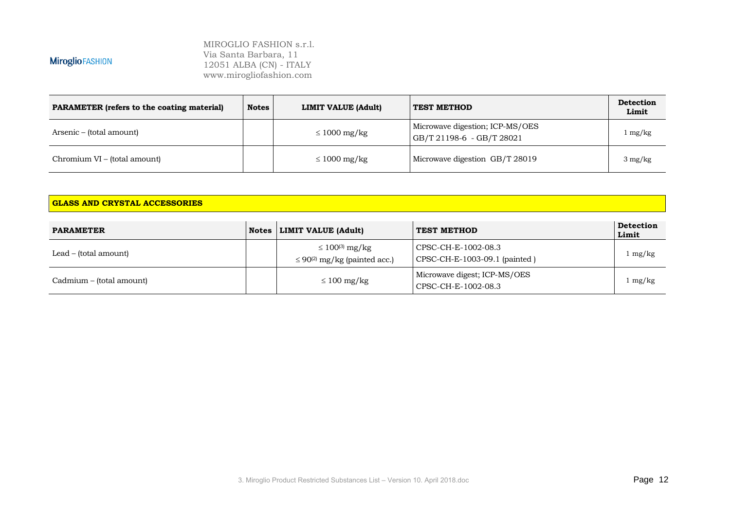MIROGLIO FASHION s.r.l. Via Santa Barbara, 11 12051 ALBA (CN) - ITALY www.mirogliofashion.com

| <b>PARAMETER</b> (refers to the coating material) | <b>Notes</b> | LIMIT VALUE (Adult) | <b>TEST METHOD</b>                                           | <b>Detection</b><br>Limit |
|---------------------------------------------------|--------------|---------------------|--------------------------------------------------------------|---------------------------|
| Arsenic – (total amount)                          |              | $\leq 1000$ mg/kg   | Microwave digestion; ICP-MS/OES<br>GB/T 21198-6 - GB/T 28021 | l mg/kg                   |
| Chromium VI – (total amount)                      |              | $\leq 1000$ mg/kg   | Microwave digestion GB/T 28019                               | $3 \text{ mg/kg}$         |

#### **GLASS AND CRYSTAL ACCESSORIES**

| <b>PARAMETER</b>         | Notes   LIMIT VALUE (Adult)                                             | <b>TEST METHOD</b>                                   | <b>Detection</b><br>Limit |
|--------------------------|-------------------------------------------------------------------------|------------------------------------------------------|---------------------------|
| Lead – (total amount)    | $\leq 100^{(3)}$ mg/kg<br>$\leq$ 90 <sup>(2)</sup> mg/kg (painted acc.) | CPSC-CH-E-1002-08.3<br>CPSC-CH-E-1003-09.1 (painted) | $1 \text{ mg/kg}$         |
| Cadmium – (total amount) | $\leq 100 \text{ mg/kg}$                                                | Microwave digest; ICP-MS/OES<br>CPSC-CH-E-1002-08.3  | $1 \text{ mg/kg}$         |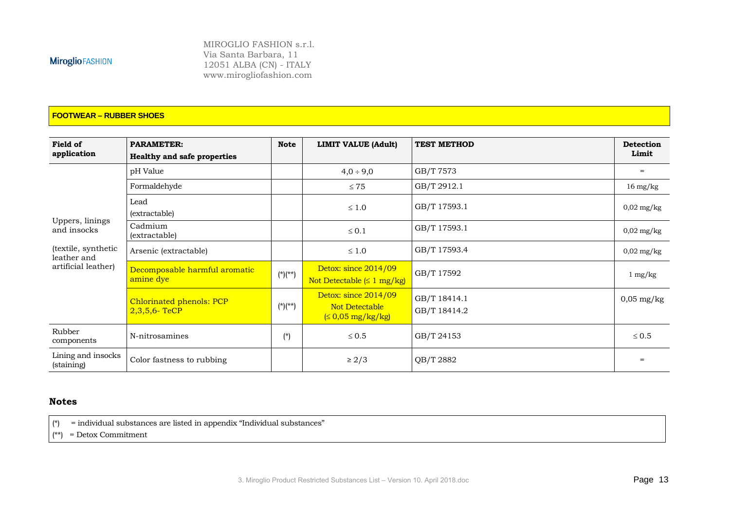MIROGLIO FASHION s.r.l. Via Santa Barbara, 11 12051 ALBA (CN) - ITALY www.mirogliofashion.com

#### **FOOTWEAR – RUBBER SHOES**

| Field of<br>application            | <b>PARAMETER:</b><br><b>Healthy and safe properties</b> | <b>Note</b> | <b>LIMIT VALUE (Adult)</b>                                      | <b>TEST METHOD</b>           | <b>Detection</b><br>Limit |
|------------------------------------|---------------------------------------------------------|-------------|-----------------------------------------------------------------|------------------------------|---------------------------|
|                                    | pH Value                                                |             | $4,0 \div 9,0$                                                  | GB/T 7573                    | $=$                       |
|                                    | Formaldehyde                                            |             | $\leq 75$                                                       | GB/T 2912.1                  | $16 \text{ mg/kg}$        |
|                                    | Lead<br>(extractable)                                   |             | $\leq 1.0$                                                      | GB/T 17593.1                 | $0,02 \text{ mg/kg}$      |
| Uppers, linings<br>and insocks     | Cadmium<br>(extractable)                                |             | $\leq 0.1$                                                      | GB/T 17593.1                 | $0,02 \text{ mg/kg}$      |
| (textile, synthetic<br>leather and | Arsenic (extractable)                                   |             | $\leq 1.0$                                                      | GB/T 17593.4                 | $0,02 \text{ mg/kg}$      |
| artificial leather)                | Decomposable harmful aromatic<br>amine dye              | $(*)$ (**)  | Detox: since 2014/09<br>Not Detectable $( \leq 1$ mg/kg)        | GB/T 17592                   | $1 \text{ mg/kg}$         |
|                                    | Chlorinated phenols: PCP<br>$2,3,5,6$ - TeCP            | $(*)$ (**)  | Detox: since 2014/09<br>Not Detectable<br>$\leq 0.05$ mg/kg/kg) | GB/T 18414.1<br>GB/T 18414.2 | $0,05$ mg/kg              |
| Rubber<br>components               | N-nitrosamines                                          | $(*)$       | $\leq 0.5$                                                      | GB/T 24153                   | $\leq 0.5$                |
| Lining and insocks<br>(staining)   | Color fastness to rubbing                               |             | $\geq 2/3$                                                      | QB/T 2882                    |                           |

#### **Notes**

 $\begin{bmatrix} \uparrow \end{bmatrix}$  = individual substances are listed in appendix "Individual substances"

 $(x^*)$  = Detox Commitment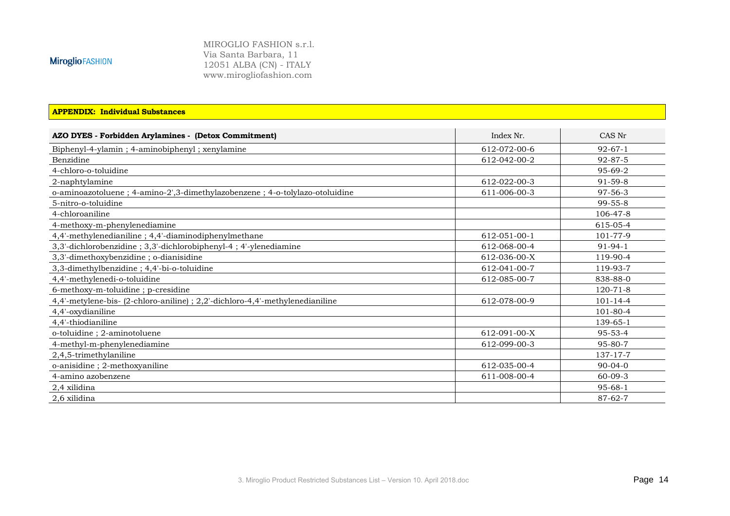MIROGLIO FASHION s.r.l. Via Santa Barbara, 11 12051 ALBA (CN) - ITALY www.mirogliofashion.com

#### **APPENDIX: Individual Substances**

| AZO DYES - Forbidden Arylamines - (Detox Commitment)                          | Index Nr.    | CAS Nr         |
|-------------------------------------------------------------------------------|--------------|----------------|
| Biphenyl-4-ylamin; 4-aminobiphenyl; xenylamine                                | 612-072-00-6 | $92 - 67 - 1$  |
| Benzidine                                                                     | 612-042-00-2 | $92 - 87 - 5$  |
| 4-chloro-o-toluidine                                                          |              | $95 - 69 - 2$  |
| 2-naphtylamine                                                                | 612-022-00-3 | $91 - 59 - 8$  |
| o-aminoazotoluene; 4-amino-2',3-dimethylazobenzene; 4-o-tolylazo-otoluidine   | 611-006-00-3 | $97 - 56 - 3$  |
| 5-nitro-o-toluidine                                                           |              | $99 - 55 - 8$  |
| 4-chloroaniline                                                               |              | 106-47-8       |
| 4-methoxy-m-phenylenediamine                                                  |              | 615-05-4       |
| 4,4'-methylenedianiline; 4,4'-diaminodiphenylmethane                          | 612-051-00-1 | 101-77-9       |
| 3,3'-dichlorobenzidine; 3,3'-dichlorobiphenyl-4; 4'-ylenediamine              | 612-068-00-4 | $91 - 94 - 1$  |
| 3,3'-dimethoxybenzidine; o-dianisidine                                        | 612-036-00-X | 119-90-4       |
| 3,3-dimethylbenzidine; 4,4'-bi-o-toluidine                                    | 612-041-00-7 | 119-93-7       |
| 4,4'-methylenedi-o-toluidine                                                  | 612-085-00-7 | 838-88-0       |
| 6-methoxy-m-toluidine; p-cresidine                                            |              | $120 - 71 - 8$ |
| 4,4'-metylene-bis- (2-chloro-aniline) ; 2,2'-dichloro-4,4'-methylenedianiline | 612-078-00-9 | $101 - 14 - 4$ |
| 4,4'-oxydianiline                                                             |              | 101-80-4       |
| 4,4'-thiodianiline                                                            |              | 139-65-1       |
| o-toluidine; 2-aminotoluene                                                   | 612-091-00-X | $95 - 53 - 4$  |
| 4-methyl-m-phenylenediamine                                                   | 612-099-00-3 | $95 - 80 - 7$  |
| 2,4,5-trimethylaniline                                                        |              | 137-17-7       |
| o-anisidine; 2-methoxyaniline                                                 | 612-035-00-4 | $90 - 04 - 0$  |
| 4-amino azobenzene                                                            | 611-008-00-4 | $60 - 09 - 3$  |
| 2,4 xilidina                                                                  |              | $95 - 68 - 1$  |
| 2.6 xilidina                                                                  |              | $87 - 62 - 7$  |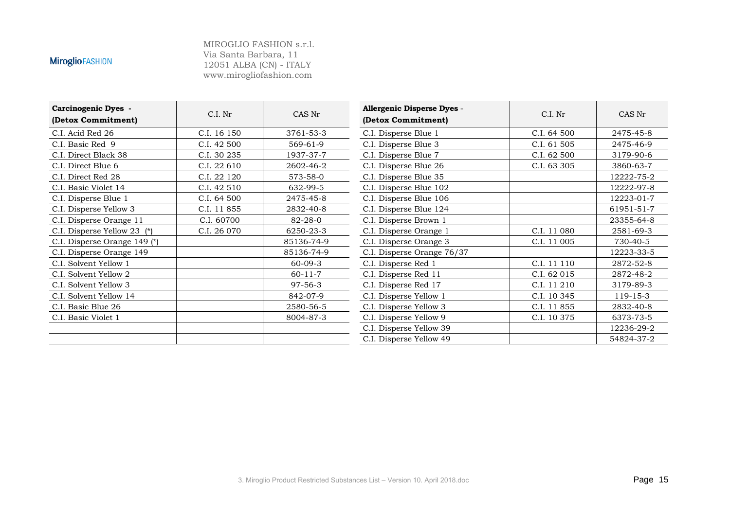| <b>Carcinogenic Dyes -</b><br>(Detox Commitment) | C.I. Nr     | CAS Nr        | Allergenic Disperse Dyes -<br>(Detox Commitment) | C.I. Nr     | CAS Nr     |
|--------------------------------------------------|-------------|---------------|--------------------------------------------------|-------------|------------|
| C.I. Acid Red 26                                 | C.I. 16 150 | 3761-53-3     | C.I. Disperse Blue 1                             | C.I. 64 500 | 2475-45-8  |
| C.I. Basic Red 9                                 | C.I. 42 500 | 569-61-9      | C.I. Disperse Blue 3                             | C.I. 61 505 | 2475-46-9  |
| C.I. Direct Black 38                             | C.I. 30 235 | 1937-37-7     | C.I. Disperse Blue 7                             | C.I. 62 500 | 3179-90-6  |
| C.I. Direct Blue 6                               | C.I. 22 610 | 2602-46-2     | C.I. Disperse Blue 26                            | C.I. 63 305 | 3860-63-7  |
| C.I. Direct Red 28                               | C.I. 22 120 | 573-58-0      | C.I. Disperse Blue 35                            |             | 12222-75-2 |
| C.I. Basic Violet 14                             | C.I. 42 510 | 632-99-5      | C.I. Disperse Blue 102                           |             | 12222-97-8 |
| C.I. Disperse Blue 1                             | C.I. 64 500 | 2475-45-8     | C.I. Disperse Blue 106                           |             | 12223-01-7 |
| C.I. Disperse Yellow 3                           | C.I. 11 855 | 2832-40-8     | C.I. Disperse Blue 124                           |             | 61951-51-7 |
| C.I. Disperse Orange 11                          | C.I. 60700  | 82-28-0       | C.I. Disperse Brown 1                            |             | 23355-64-8 |
| C.I. Disperse Yellow 23 (*)                      | C.I. 26 070 | 6250-23-3     | C.I. Disperse Orange 1                           | C.I. 11 080 | 2581-69-3  |
| C.I. Disperse Orange 149 (*)                     |             | 85136-74-9    | C.I. Disperse Orange 3                           | C.I. 11 005 | 730-40-5   |
| C.I. Disperse Orange 149                         |             | 85136-74-9    | C.I. Disperse Orange 76/37                       |             | 12223-33-5 |
| C.I. Solvent Yellow 1                            |             | $60 - 09 - 3$ | C.I. Disperse Red 1                              | C.I. 11 110 | 2872-52-8  |
| C.I. Solvent Yellow 2                            |             | $60 - 11 - 7$ | C.I. Disperse Red 11                             | C.I. 62 015 | 2872-48-2  |
| C.I. Solvent Yellow 3                            |             | $97 - 56 - 3$ | C.I. Disperse Red 17                             | C.I. 11 210 | 3179-89-3  |
| C.I. Solvent Yellow 14                           |             | 842-07-9      | C.I. Disperse Yellow 1                           | C.I. 10 345 | 119-15-3   |
| C.I. Basic Blue 26                               |             | 2580-56-5     | C.I. Disperse Yellow 3                           | C.I. 11 855 | 2832-40-8  |
| C.I. Basic Violet 1                              |             | 8004-87-3     | C.I. Disperse Yellow 9                           | C.I. 10 375 | 6373-73-5  |
|                                                  |             |               | C.I. Disperse Yellow 39                          |             | 12236-29-2 |
|                                                  |             |               | C.I. Disperse Yellow 49                          |             | 54824-37-2 |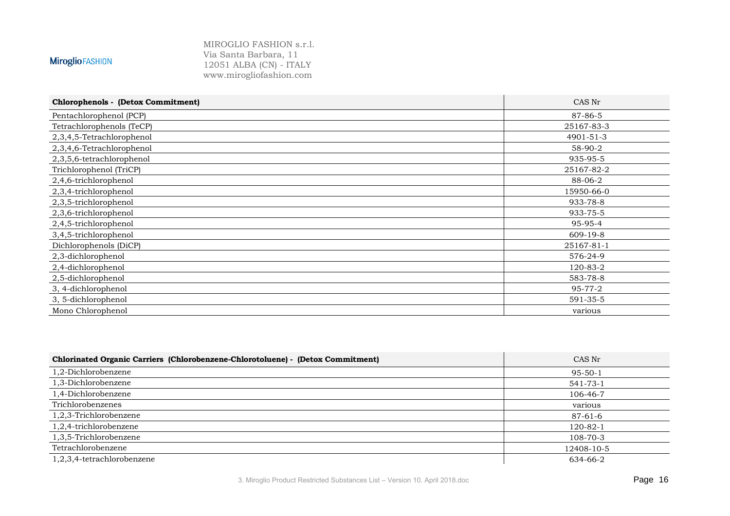MIROGLIO FASHION s.r.l. Via Santa Barbara, 11 12051 ALBA (CN) - ITALY www.mirogliofashion.com

#### **Chlorophenols - (Detox Commitment)** CAS Nr Pentachlorophenol (PCP) 87-86-5 Tetrachlorophenols (TeCP) 25167-83-3 2,3,4,5-Tetrachlorophenol 4901-51-3 2,3,4,6-Tetrachlorophenol 58-90-2 2,3,5,6-tetrachlorophenol 935-95-5 Trichlorophenol (TriCP) 25167-82-2 2,4,6-trichlorophenol 88-06-2 2,3,4-trichlorophenol 15950-66-0  $2.3.5$ -trichlorophenol 2,3,6-trichlorophenol 933-75-5 2,4,5-trichlorophenol 95-95-4 3,4,5-trichlorophenol 609-19-8 Dichlorophenols (DiCP) 25167-81-1 2,3-dichlorophenol 576-24-9 2,4-dichlorophenol 2,5-dichlorophenol 583-78-8 3, 4-dichlorophenol 95-77-2 3, 5-dichlorophenol 591-35-5 Mono Chlorophenol various various various various various various various various various various various various various various various various various various various various various various various various various vari

| Chlorinated Organic Carriers (Chlorobenzene-Chlorotoluene) - (Detox Commitment) | CAS Nr         |
|---------------------------------------------------------------------------------|----------------|
| 1,2-Dichlorobenzene                                                             | $95 - 50 - 1$  |
| 1,3-Dichlorobenzene                                                             | 541-73-1       |
| 1,4-Dichlorobenzene                                                             | 106-46-7       |
| Trichlorobenzenes                                                               | various        |
| 1,2,3-Trichlorobenzene                                                          | 87-61-6        |
| $1,2,4$ -trichlorobenzene                                                       | $120 - 82 - 1$ |
| 1,3,5-Trichlorobenzene                                                          | $108 - 70 - 3$ |
| Tetrachlorobenzene                                                              | 12408-10-5     |
| 1,2,3,4-tetrachlorobenzene                                                      | 634-66-2       |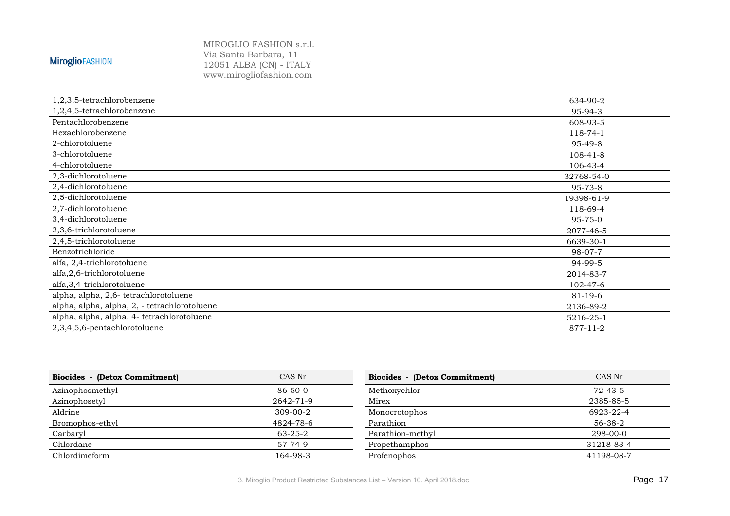| 1,2,3,5-tetrachlorobenzene                   | 634-90-2       |
|----------------------------------------------|----------------|
| 1,2,4,5-tetrachlorobenzene                   | 95-94-3        |
| Pentachlorobenzene                           | 608-93-5       |
| Hexachlorobenzene                            | 118-74-1       |
| 2-chlorotoluene                              | 95-49-8        |
| 3-chlorotoluene                              | $108 - 41 - 8$ |
| 4-chlorotoluene                              | 106-43-4       |
| 2,3-dichlorotoluene                          | 32768-54-0     |
| 2,4-dichlorotoluene                          | 95-73-8        |
| 2,5-dichlorotoluene                          | 19398-61-9     |
| 2,7-dichlorotoluene                          | 118-69-4       |
| 3,4-dichlorotoluene                          | 95-75-0        |
| 2,3,6-trichlorotoluene                       | 2077-46-5      |
| 2,4,5-trichlorotoluene                       | 6639-30-1      |
| Benzotrichloride                             | $98-07-7$      |
| alfa, 2,4-trichlorotoluene                   | 94-99-5        |
| alfa,2,6-trichlorotoluene                    | 2014-83-7      |
| alfa, 3, 4-trichlorotoluene                  | 102-47-6       |
| alpha, alpha, 2,6- tetrachlorotoluene        | $81 - 19 - 6$  |
| alpha, alpha, alpha, 2, - tetrachlorotoluene | 2136-89-2      |
| alpha, alpha, alpha, 4- tetrachlorotoluene   | 5216-25-1      |
| 2,3,4,5,6-pentachlorotoluene                 | 877-11-2       |

| Biocides - (Detox Commitment) | CAS Nr        | Biocides - (Detox Commitment) | CAS Nr        |
|-------------------------------|---------------|-------------------------------|---------------|
| Azinophosmethyl               | 86-50-0       | Methoxychlor                  | $72 - 43 - 5$ |
| Azinophosetyl                 | 2642-71-9     | Mirex                         | 2385-85-5     |
| Aldrine                       | 309-00-2      | Monocrotophos                 | 6923-22-4     |
| Bromophos-ethyl               | 4824-78-6     | Parathion                     | 56-38-2       |
| Carbaryl                      | $63 - 25 - 2$ | Parathion-methyl              | 298-00-0      |
| Chlordane                     | 57-74-9       | Propethamphos                 | 31218-83-4    |
| Chlordimeform                 | 164-98-3      | Profenophos                   | 41198-08-7    |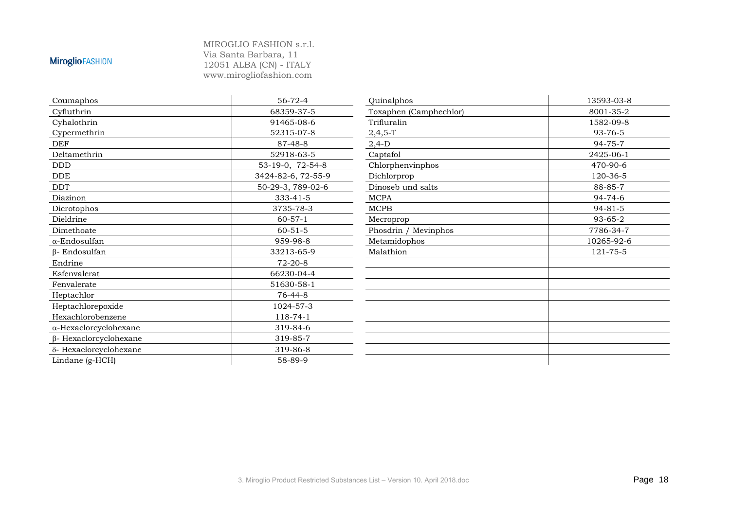| Coumaphos                     | $56 - 72 - 4$      | Quinalphos             | 13593-03-8    |
|-------------------------------|--------------------|------------------------|---------------|
| Cyfluthrin                    | 68359-37-5         | Toxaphen (Camphechlor) | 8001-35-2     |
| Cyhalothrin                   | 91465-08-6         | Trifluralin            | 1582-09-8     |
| Cypermethrin                  | 52315-07-8         | $2,4,5-T$              | 93-76-5       |
| <b>DEF</b>                    | 87-48-8            | $2,4-D$                | $94 - 75 - 7$ |
| Deltamethrin                  | 52918-63-5         | Captafol               | 2425-06-1     |
| <b>DDD</b>                    | 53-19-0, 72-54-8   | Chlorphenvinphos       | 470-90-6      |
| DDE                           | 3424-82-6, 72-55-9 | Dichlorprop            | 120-36-5      |
| <b>DDT</b>                    | 50-29-3, 789-02-6  | Dinoseb und salts      | 88-85-7       |
| Diazinon                      | 333-41-5           | <b>MCPA</b>            | $94 - 74 - 6$ |
| Dicrotophos                   | 3735-78-3          | MCPB                   | $94 - 81 - 5$ |
| Dieldrine                     | $60 - 57 - 1$      | Mecroprop              | 93-65-2       |
| Dimethoate                    | $60 - 51 - 5$      | Phosdrin / Mevinphos   | 7786-34-7     |
| $\alpha$ -Endosulfan          | 959-98-8           | Metamidophos           | 10265-92-6    |
| $\beta$ - Endosulfan          | 33213-65-9         | Malathion              | 121-75-5      |
| Endrine                       | $72-20-8$          |                        |               |
| Esfenvalerat                  | 66230-04-4         |                        |               |
| Fenvalerate                   | 51630-58-1         |                        |               |
| Heptachlor                    | $76 - 44 - 8$      |                        |               |
| Heptachlorepoxide             | 1024-57-3          |                        |               |
| Hexachlorobenzene             | 118-74-1           |                        |               |
| $\alpha$ -Hexaclorcyclohexane | 319-84-6           |                        |               |
| $\beta$ - Hexaclorcyclohexane | 319-85-7           |                        |               |
| δ- Hexaclorcyclohexane        | 319-86-8           |                        |               |
| Lindane (g-HCH)               | 58-89-9            |                        |               |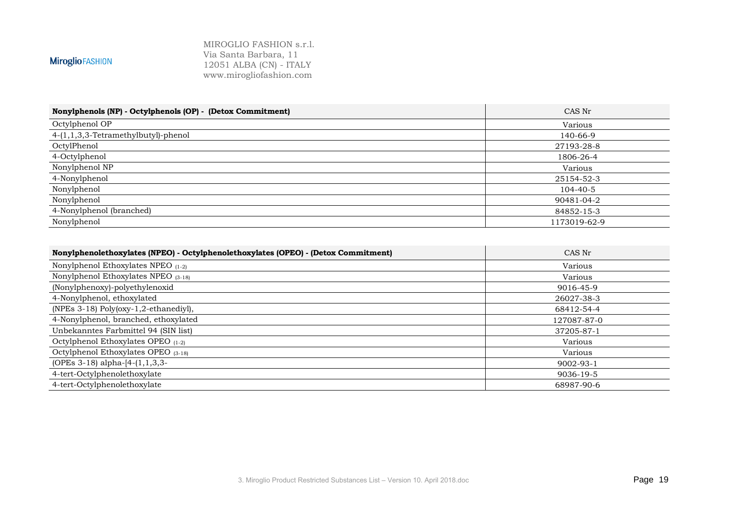| Nonylphenols (NP) - Octylphenols (OP) - (Detox Commitment) | CAS Nr       |
|------------------------------------------------------------|--------------|
| Octylphenol OP                                             | Various      |
| 4-(1,1,3,3-Tetramethylbutyl)-phenol                        | 140-66-9     |
| OctylPhenol                                                | 27193-28-8   |
| 4-Octylphenol                                              | 1806-26-4    |
| Nonylphenol NP                                             | Various      |
| 4-Nonylphenol                                              | 25154-52-3   |
| Nonylphenol                                                | 104-40-5     |
| Nonylphenol                                                | 90481-04-2   |
| 4-Nonylphenol (branched)                                   | 84852-15-3   |
| Nonylphenol                                                | 1173019-62-9 |

| Nonylphenolethoxylates (NPEO) - Octylphenolethoxylates (OPEO) - (Detox Commitment) | CAS Nr          |
|------------------------------------------------------------------------------------|-----------------|
| Nonylphenol Ethoxylates NPEO $(1-2)$                                               | Various         |
| Nonylphenol Ethoxylates NPEO $(3-18)$                                              | Various         |
| (Nonylphenoxy)-polyethylenoxid                                                     | 9016-45-9       |
| 4-Nonylphenol, ethoxylated                                                         | 26027-38-3      |
| (NPEs 3-18) Poly(oxy-1,2-ethanediyl),                                              | 68412-54-4      |
| 4-Nonylphenol, branched, ethoxylated                                               | 127087-87-0     |
| Unbekanntes Farbmittel 94 (SIN list)                                               | 37205-87-1      |
| Octylphenol Ethoxylates OPEO (1-2)                                                 | Various         |
| Octylphenol Ethoxylates OPEO (3-18)                                                | Various         |
| (OPEs $3-18$ ) alpha-[4-(1,1,3,3-                                                  | $9002 - 93 - 1$ |
| 4-tert-Octylphenolethoxylate                                                       | 9036-19-5       |
| 4-tert-Octylphenolethoxylate                                                       | 68987-90-6      |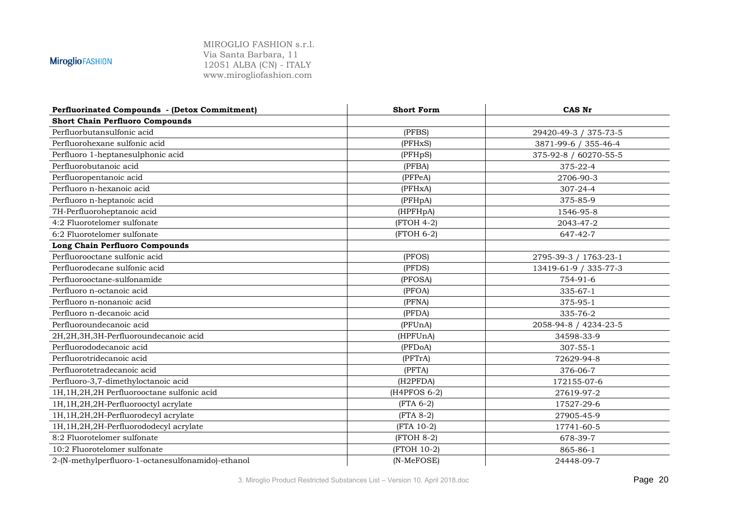| Perfluorinated Compounds - (Detox Commitment)     | <b>Short Form</b> | CAS Nr                |
|---------------------------------------------------|-------------------|-----------------------|
| <b>Short Chain Perfluoro Compounds</b>            |                   |                       |
| Perfluorbutansulfonic acid                        | (PFBS)            | 29420-49-3 / 375-73-5 |
| Perfluorohexane sulfonic acid                     | (PFHxS)           | 3871-99-6 / 355-46-4  |
| Perfluoro 1-heptanesulphonic acid                 | (PFHpS)           | 375-92-8 / 60270-55-5 |
| Perfluorobutanoic acid                            | (PFBA)            | 375-22-4              |
| Perfluoropentanoic acid                           | (PFPeA)           | 2706-90-3             |
| Perfluoro n-hexanoic acid                         | (PFHxA)           | $307 - 24 - 4$        |
| Perfluoro n-heptanoic acid                        | (PFHpA)           | 375-85-9              |
| 7H-Perfluoroheptanoic acid                        | (HPFHpA)          | 1546-95-8             |
| 4:2 Fluorotelomer sulfonate                       | (FTOH 4-2)        | 2043-47-2             |
| 6:2 Fluorotelomer sulfonate                       | (FTOH 6-2)        | 647-42-7              |
| <b>Long Chain Perfluoro Compounds</b>             |                   |                       |
| Perfluorooctane sulfonic acid                     | (PFOS)            | 2795-39-3 / 1763-23-1 |
| Perfluorodecane sulfonic acid                     | (PFDS)            | 13419-61-9 / 335-77-3 |
| Perfluorooctane-sulfonamide                       | (PFOSA)           | 754-91-6              |
| Perfluoro n-octanoic acid                         | (PFOA)            | $335 - 67 - 1$        |
| Perfluoro n-nonanoic acid                         | (PFNA)            | 375-95-1              |
| Perfluoro n-decanoic acid                         | (PFDA)            | 335-76-2              |
| Perfluoroundecanoic acid                          | (PFUnA)           | 2058-94-8 / 4234-23-5 |
| 2H,2H,3H,3H-Perfluoroundecanoic acid              | (HPFUnA)          | 34598-33-9            |
| Perfluorododecanoic acid                          | (PFDoA)           | $307 - 55 - 1$        |
| Perfluorotridecanoic acid                         | (PFTrA)           | 72629-94-8            |
| Perfluorotetradecanoic acid                       | (PFTA)            | 376-06-7              |
| Perfluoro-3,7-dimethyloctanoic acid               | (H2PFDA)          | 172155-07-6           |
| 1H,1H,2H,2H Perfluorooctane sulfonic acid         | (H4PFOS 6-2)      | 27619-97-2            |
| 1H, 1H, 2H, 2H-Perfluorooctyl acrylate            | $(FTA 6-2)$       | 17527-29-6            |
| 1H, 1H, 2H, 2H-Perfluorodecyl acrylate            | $(FTA 8-2)$       | 27905-45-9            |
| 1H, 1H, 2H, 2H-Perfluorododecyl acrylate          | (FTA 10-2)        | 17741-60-5            |
| 8:2 Fluorotelomer sulfonate                       | (FTOH 8-2)        | 678-39-7              |
| 10:2 Fluorotelomer sulfonate                      | (FTOH 10-2)       | 865-86-1              |
| 2-(N-methylperfluoro-1-octanesulfonamido)-ethanol | (N-MeFOSE)        | 24448-09-7            |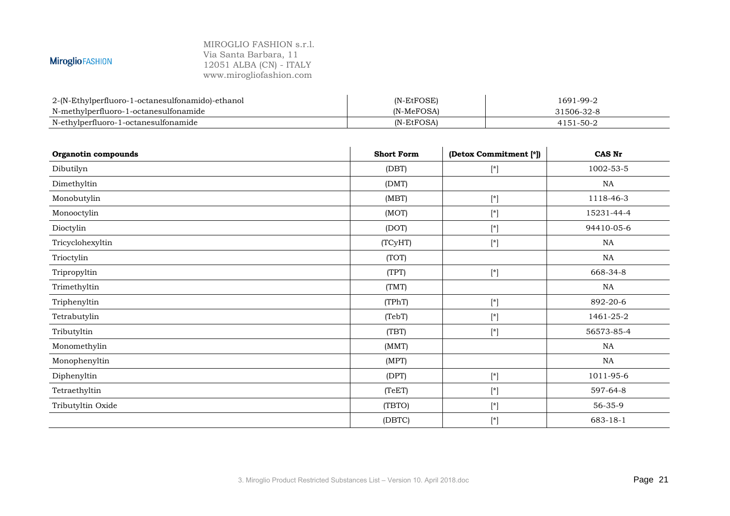#### MIROGLIO FASHION s.r.l. Via Santa Barbara, 11 12051 ALBA (CN) - ITALY www.mirogliofashion.com

**MiroglioFASHION** 

### 2-(N-Ethylperfluoro-1-octanesulfonamido)-ethanol (N-EtFOSE) (N-EtFOSE) 1691-99-2<br>N-methylperfluoro-1-octanesulfonamide (N-MeFOSA) (N-MeFOSA) 31506-32-8 N-methylperfluoro-1-octanesulfonamide (N-MeFOSA) 31506-32-8  $N$ -ethylperfluoro-1-octanesulfonamide

| Organotin compounds | <b>Short Form</b> | (Detox Commitment [*])                                                                                                                                                                                                                             | <b>CAS Nr</b> |
|---------------------|-------------------|----------------------------------------------------------------------------------------------------------------------------------------------------------------------------------------------------------------------------------------------------|---------------|
| Dibutilyn           | (DBT)             | $[*] % \centering \includegraphics[width=0.9\textwidth]{images/TrDiM-Architecture.png} % \caption{The first two different values of $A$ with the same time. The first two different values of $A$ is the same time.} \label{TrDiM-Architecture} %$ | 1002-53-5     |
| Dimethyltin         | (DMT)             |                                                                                                                                                                                                                                                    | NA            |
| Monobutylin         | (MBT)             | $[*]$                                                                                                                                                                                                                                              | 1118-46-3     |
| Monooctylin         | (MOT)             | $[^*]$                                                                                                                                                                                                                                             | 15231-44-4    |
| Dioctylin           | (DOT)             | $[$                                                                                                                                                                                                                                                | 94410-05-6    |
| Tricyclohexyltin    | (TCyHT)           | $[$                                                                                                                                                                                                                                                | NA            |
| Trioctylin          | (TOT)             |                                                                                                                                                                                                                                                    | NA            |
| Tripropyltin        | (TPT)             | $[$                                                                                                                                                                                                                                                | 668-34-8      |
| Trimethyltin        | (TMT)             |                                                                                                                                                                                                                                                    | NA            |
| Triphenyltin        | (TPhT)            | $[$                                                                                                                                                                                                                                                | 892-20-6      |
| Tetrabutylin        | (TebT)            | $[^*]$                                                                                                                                                                                                                                             | 1461-25-2     |
| Tributyltin         | (TBT)             | $[^*]$                                                                                                                                                                                                                                             | 56573-85-4    |
| Monomethylin        | (MMT)             |                                                                                                                                                                                                                                                    | NA            |
| Monophenyltin       | (MPT)             |                                                                                                                                                                                                                                                    | NA            |
| Diphenyltin         | (DPT)             | $[\star]$                                                                                                                                                                                                                                          | 1011-95-6     |
| Tetraethyltin       | (TeET)            | $\lceil$ *]                                                                                                                                                                                                                                        | 597-64-8      |
| Tributyltin Oxide   | (TBTO)            | $[\star]$                                                                                                                                                                                                                                          | 56-35-9       |
|                     | (DBTC)            | $[*] % \centering % {\includegraphics[width=0.9\textwidth]{images/Trigersfigs/2a-2.png}} \caption{The figure shows the results of the estimators in the left and right.} \label{fig:Trigersfigs}$                                                  | 683-18-1      |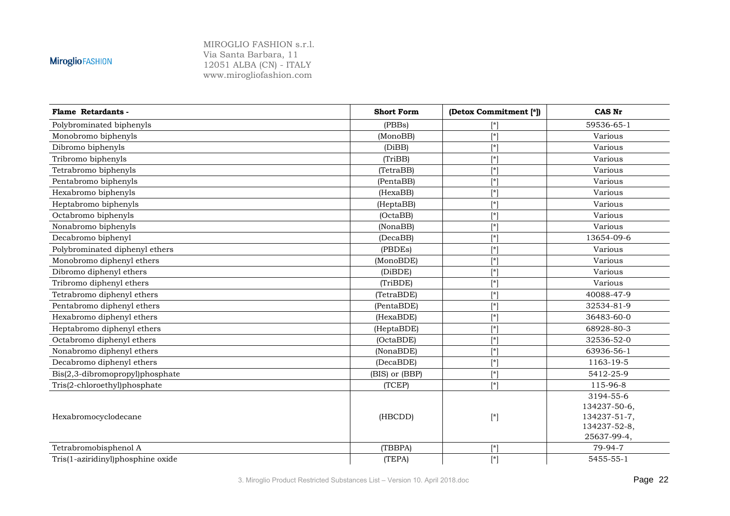| Flame Retardants -                | <b>Short Form</b> | (Detox Commitment [*])                                                                                                                                                                                                                                                                                                                                                                                                                                                                                                                                                                     | <b>CAS Nr</b>                                                            |
|-----------------------------------|-------------------|--------------------------------------------------------------------------------------------------------------------------------------------------------------------------------------------------------------------------------------------------------------------------------------------------------------------------------------------------------------------------------------------------------------------------------------------------------------------------------------------------------------------------------------------------------------------------------------------|--------------------------------------------------------------------------|
| Polybrominated biphenyls          | (PBBs)            | [*]                                                                                                                                                                                                                                                                                                                                                                                                                                                                                                                                                                                        | 59536-65-1                                                               |
| Monobromo biphenyls               | (MonoBB)          | $\lceil * \rceil$                                                                                                                                                                                                                                                                                                                                                                                                                                                                                                                                                                          | Various                                                                  |
| Dibromo biphenyls                 | (DiBB)            | $\lceil * \rceil$                                                                                                                                                                                                                                                                                                                                                                                                                                                                                                                                                                          | Various                                                                  |
| Tribromo biphenyls                | (TriBB)           | $\mathsf{r}$                                                                                                                                                                                                                                                                                                                                                                                                                                                                                                                                                                               | Various                                                                  |
| Tetrabromo biphenyls              | (TetraBB)         | $\lceil$ *]                                                                                                                                                                                                                                                                                                                                                                                                                                                                                                                                                                                | Various                                                                  |
| Pentabromo biphenyls              | (PentaBB)         | $\lceil * \rceil$                                                                                                                                                                                                                                                                                                                                                                                                                                                                                                                                                                          | Various                                                                  |
| Hexabromo biphenyls               | (HexaBB)          | $[^*]$                                                                                                                                                                                                                                                                                                                                                                                                                                                                                                                                                                                     | Various                                                                  |
| Heptabromo biphenyls              | (HeptaBB)         | $\lceil$ *]                                                                                                                                                                                                                                                                                                                                                                                                                                                                                                                                                                                | Various                                                                  |
| Octabromo biphenyls               | (OctaBB)          | $\lceil$ *]                                                                                                                                                                                                                                                                                                                                                                                                                                                                                                                                                                                | Various                                                                  |
| Nonabromo biphenyls               | (NonaBB)          | $[\ast]$                                                                                                                                                                                                                                                                                                                                                                                                                                                                                                                                                                                   | Various                                                                  |
| Decabromo biphenyl                | (DecaBB)          | $\lceil$ *]                                                                                                                                                                                                                                                                                                                                                                                                                                                                                                                                                                                | 13654-09-6                                                               |
| Polybrominated diphenyl ethers    | (PBDEs)           | $\lceil * \rceil$                                                                                                                                                                                                                                                                                                                                                                                                                                                                                                                                                                          | Various                                                                  |
| Monobromo diphenyl ethers         | (MonoBDE)         | $[^*]$                                                                                                                                                                                                                                                                                                                                                                                                                                                                                                                                                                                     | Various                                                                  |
| Dibromo diphenyl ethers           | (DiBDE)           | $\lceil$ *]                                                                                                                                                                                                                                                                                                                                                                                                                                                                                                                                                                                | Various                                                                  |
| Tribromo diphenyl ethers          | (TriBDE)          | $\lceil$ *]                                                                                                                                                                                                                                                                                                                                                                                                                                                                                                                                                                                | Various                                                                  |
| Tetrabromo diphenyl ethers        | (TetraBDE)        | $[\star]$                                                                                                                                                                                                                                                                                                                                                                                                                                                                                                                                                                                  | 40088-47-9                                                               |
| Pentabromo diphenyl ethers        | (PentaBDE)        | $\lceil * \rceil$                                                                                                                                                                                                                                                                                                                                                                                                                                                                                                                                                                          | 32534-81-9                                                               |
| Hexabromo diphenyl ethers         | (HexaBDE)         | $\lceil * \rceil$                                                                                                                                                                                                                                                                                                                                                                                                                                                                                                                                                                          | 36483-60-0                                                               |
| Heptabromo diphenyl ethers        | (HeptaBDE)        | $\mathsf{[*]}$                                                                                                                                                                                                                                                                                                                                                                                                                                                                                                                                                                             | 68928-80-3                                                               |
| Octabromo diphenyl ethers         | (OctaBDE)         | $\lceil$ *]                                                                                                                                                                                                                                                                                                                                                                                                                                                                                                                                                                                | 32536-52-0                                                               |
| Nonabromo diphenyl ethers         | (NonaBDE)         | $\lceil$ * $\rceil$                                                                                                                                                                                                                                                                                                                                                                                                                                                                                                                                                                        | 63936-56-1                                                               |
| Decabromo diphenyl ethers         | (DecaBDE)         | $[\ast]$                                                                                                                                                                                                                                                                                                                                                                                                                                                                                                                                                                                   | 1163-19-5                                                                |
| Bis(2,3-dibromopropyl)phosphate   | (BIS) or (BBP)    | $\lceil$ *]                                                                                                                                                                                                                                                                                                                                                                                                                                                                                                                                                                                | 5412-25-9                                                                |
| Tris(2-chloroethyl)phosphate      | (TCEP)            | $\lceil * \rceil$                                                                                                                                                                                                                                                                                                                                                                                                                                                                                                                                                                          | 115-96-8                                                                 |
| Hexabromocyclodecane              | (HBCDD)           | $[*] % \centering \includegraphics[width=0.9\textwidth]{images/TrDiM-Architecture.png} % \caption{The first two different values of $A$ with the same time. The first two different values of $A$ is the same time.} \label{TrDiM-Architecture} %$                                                                                                                                                                                                                                                                                                                                         | 3194-55-6<br>134237-50-6,<br>134237-51-7,<br>134237-52-8,<br>25637-99-4, |
| Tetrabromobisphenol A             | (TBBPA)           | $\lceil$ *]                                                                                                                                                                                                                                                                                                                                                                                                                                                                                                                                                                                | 79-94-7                                                                  |
| Tris(1-aziridinyl)phosphine oxide | (TEPA)            | $[*] % \begin{center} % \includegraphics[width=\linewidth]{imagesSupplemental_3.png} % \end{center} % \caption { % \textit{DefNet} of \textit{DefNet} and \textit{DefNet} and \textit{DefNet} and \textit{DefNet} and \textit{DefNet} and \textit{DefNet} and \textit{DefNet} and \textit{DefNet} and \textit{DefNet} and \textit{DefNet} and \textit{DefNet} and \textit{DefNet} and \textit{DefNet} and \textit{DefNet} and \textit{DefNet} and \textit{DefNet} and \textit{DefNet} and \textit{DefNet} and \textit{DefNet} and \textit{DefNet} and \textit{DefNet} and \textit{DefNet}$ | 5455-55-1                                                                |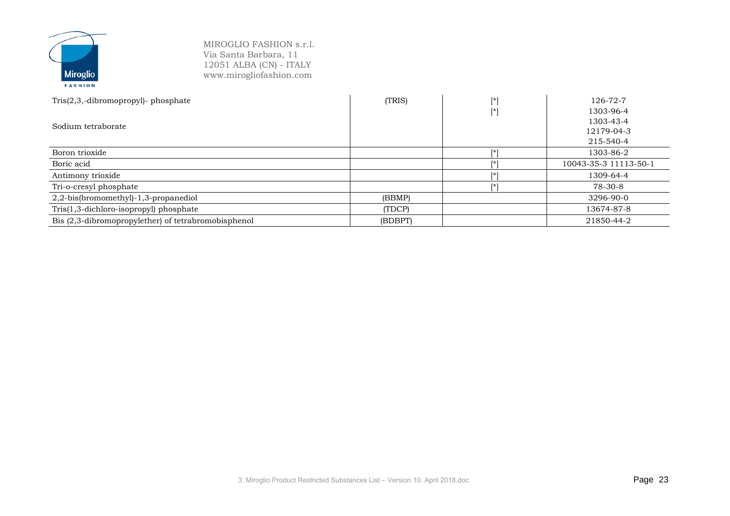| $Tris(2,3,-dibromopropyl)$ - phosphate              | (TRIS)  | ſ*1 | 126-72-7              |
|-----------------------------------------------------|---------|-----|-----------------------|
|                                                     |         | [*] | 1303-96-4             |
| Sodium tetraborate                                  |         |     | 1303-43-4             |
|                                                     |         |     | 12179-04-3            |
|                                                     |         |     | 215-540-4             |
| Boron trioxide                                      |         | Г*  | 1303-86-2             |
| Boric acid                                          |         | Г÷  | 10043-35-3 11113-50-1 |
| Antimony trioxide                                   |         | Г÷  | 1309-64-4             |
| Tri-o-cresyl phosphate                              |         |     | 78-30-8               |
| 2,2-bis(bromomethyl)-1,3-propanediol                | (BBMP)  |     | 3296-90-0             |
| Tris(1,3-dichloro-isopropyl) phosphate              | (TDCP)  |     | 13674-87-8            |
| Bis (2,3-dibromopropylether) of tetrabromobisphenol | (BDBPT) |     | 21850-44-2            |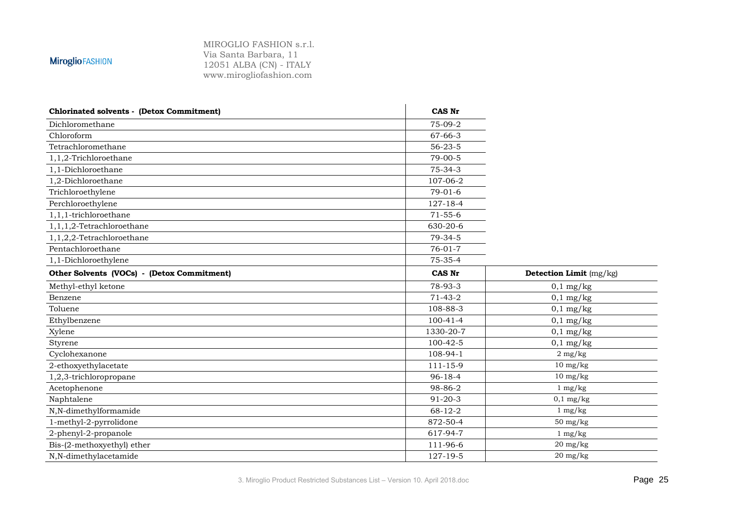| <b>Chlorinated solvents - (Detox Commitment)</b> | <b>CAS Nr</b>  |                         |
|--------------------------------------------------|----------------|-------------------------|
| Dichloromethane                                  | 75-09-2        |                         |
| Chloroform                                       | $67 - 66 - 3$  |                         |
| Tetrachloromethane                               | $56 - 23 - 5$  |                         |
| 1,1,2-Trichloroethane                            | $79 - 00 - 5$  |                         |
| 1,1-Dichloroethane                               | $75 - 34 - 3$  |                         |
| 1,2-Dichloroethane                               | 107-06-2       |                         |
| Trichloroethylene                                | $79-01-6$      |                         |
| Perchloroethylene                                | 127-18-4       |                         |
| 1,1,1-trichloroethane                            | $71 - 55 - 6$  |                         |
| 1,1,1,2-Tetrachloroethane                        | 630-20-6       |                         |
| 1,1,2,2-Tetrachloroethane                        | $79 - 34 - 5$  |                         |
| Pentachloroethane                                | $76 - 01 - 7$  |                         |
| 1,1-Dichloroethylene                             | $75 - 35 - 4$  |                         |
| Other Solvents (VOCs) - (Detox Commitment)       | CAS Nr         | Detection Limit (mg/kg) |
| Methyl-ethyl ketone                              | 78-93-3        | $0,1$ mg/kg             |
| Benzene                                          | $71-43-2$      | $0,1$ mg/kg             |
| Toluene                                          | 108-88-3       | $0,1$ mg/kg             |
| Ethylbenzene                                     | $100 - 41 - 4$ | $0,1$ mg/kg             |
| Xylene                                           | 1330-20-7      | $0,1$ mg/kg             |
| Styrene                                          | 100-42-5       | $0,1$ mg/kg             |
| Cyclohexanone                                    | 108-94-1       | $2 \text{ mg/kg}$       |
| 2-ethoxyethylacetate                             | $111 - 15 - 9$ | $10 \text{ mg/kg}$      |
| 1,2,3-trichloropropane                           | $96 - 18 - 4$  | $10 \text{ mg/kg}$      |
| Acetophenone                                     | 98-86-2        | $1 \text{ mg/kg}$       |
| Naphtalene                                       | $91 - 20 - 3$  | $0,1$ mg/kg             |
| N,N-dimethylformamide                            | $68 - 12 - 2$  | $1 \text{ mg/kg}$       |
| 1-methyl-2-pyrrolidone                           | 872-50-4       | $50 \text{ mg/kg}$      |
| 2-phenyl-2-propanole                             | 617-94-7       | $1 \text{ mg/kg}$       |
| Bis-(2-methoxyethyl) ether                       | 111-96-6       | $20 \text{ mg/kg}$      |
| N,N-dimethylacetamide                            | 127-19-5       | $20 \text{ mg/kg}$      |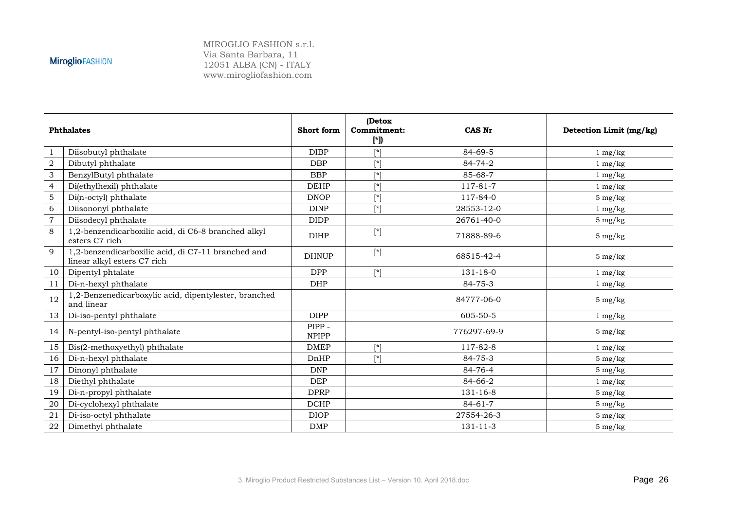| <b>Phthalates</b>         |                                                                                   | Short form            | (Detox<br>Commitment:<br>[*]) | CAS Nr         | Detection Limit (mg/kg) |  |
|---------------------------|-----------------------------------------------------------------------------------|-----------------------|-------------------------------|----------------|-------------------------|--|
| -1                        | Diisobutyl phthalate                                                              | <b>DIBP</b>           | $[^*]$                        | 84-69-5        | $1 \text{ mg/kg}$       |  |
| $\sqrt{2}$                | Dibutyl phthalate                                                                 | <b>DBP</b>            | $\mathsf{r}^*$                | 84-74-2        | $1 \text{ mg/kg}$       |  |
| $\ensuremath{\mathsf{3}}$ | BenzylButyl phthalate                                                             | <b>BBP</b>            | $\lceil$ *]                   | 85-68-7        | $1 \text{ mg/kg}$       |  |
| $\overline{4}$            | Di(ethylhexil) phthalate                                                          | <b>DEHP</b>           | $[^*]$                        | 117-81-7       | $1 \text{ mg/kg}$       |  |
| $\sqrt{5}$                | Di(n-octyl) phthalate                                                             | <b>DNOP</b>           | $\lceil * \rceil$             | 117-84-0       | $5 \text{ mg/kg}$       |  |
| 6                         | Diisononyl phthalate                                                              | <b>DINP</b>           | $\lceil$ *]                   | 28553-12-0     | $1 \text{ mg/kg}$       |  |
| $\overline{7}$            | Diisodecyl phthalate                                                              | <b>DIDP</b>           |                               | 26761-40-0     | $5 \text{ mg/kg}$       |  |
| 8                         | 1,2-benzendicarboxilic acid, di C6-8 branched alkyl<br>esters C7 rich             | <b>DIHP</b>           | $[*]$                         | 71888-89-6     | $5 \text{ mg/kg}$       |  |
| 9                         | 1,2-benzendicarboxilic acid, di C7-11 branched and<br>linear alkyl esters C7 rich | <b>DHNUP</b>          | $[\ast]$                      | 68515-42-4     | $5 \text{ mg/kg}$       |  |
| 10                        | Dipentyl phtalate                                                                 | <b>DPP</b>            | $\lceil$ *]                   | $131 - 18 - 0$ | $1 \text{ mg/kg}$       |  |
| 11                        | Di-n-hexyl phthalate                                                              | <b>DHP</b>            |                               | $84 - 75 - 3$  | $1 \text{ mg/kg}$       |  |
| 12                        | 1,2-Benzenedicarboxylic acid, dipentylester, branched<br>and linear               |                       |                               | 84777-06-0     | $5 \text{ mg/kg}$       |  |
| 13                        | Di-iso-pentyl phthalate                                                           | <b>DIPP</b>           |                               | 605-50-5       | $1 \text{ mg/kg}$       |  |
| 14                        | N-pentyl-iso-pentyl phthalate                                                     | PIPP-<br><b>NPIPP</b> |                               | 776297-69-9    | $5 \text{ mg/kg}$       |  |
| 15                        | Bis(2-methoxyethyl) phthalate                                                     | <b>DMEP</b>           | $[\ast]$                      | 117-82-8       | $1 \text{ mg/kg}$       |  |
| 16                        | Di-n-hexyl phthalate                                                              | DnHP                  | $\lceil$ *]                   | 84-75-3        | $5 \text{ mg/kg}$       |  |
| 17                        | Dinonyl phthalate                                                                 | <b>DNP</b>            |                               | 84-76-4        | $5 \text{ mg/kg}$       |  |
| 18                        | Diethyl phthalate                                                                 | <b>DEP</b>            |                               | 84-66-2        | $1 \text{ mg/kg}$       |  |
| 19                        | Di-n-propyl phthalate                                                             | <b>DPRP</b>           |                               | $131 - 16 - 8$ | $5 \text{ mg/kg}$       |  |
| 20                        | Di-cyclohexyl phthalate                                                           | <b>DCHP</b>           |                               | $84 - 61 - 7$  | $5 \text{ mg/kg}$       |  |
| 21                        | Di-iso-octyl phthalate                                                            | <b>DIOP</b>           |                               | 27554-26-3     | $5 \text{ mg/kg}$       |  |
| ${\bf 22}$                | Dimethyl phthalate                                                                | <b>DMP</b>            |                               | $131 - 11 - 3$ | $5 \text{ mg/kg}$       |  |